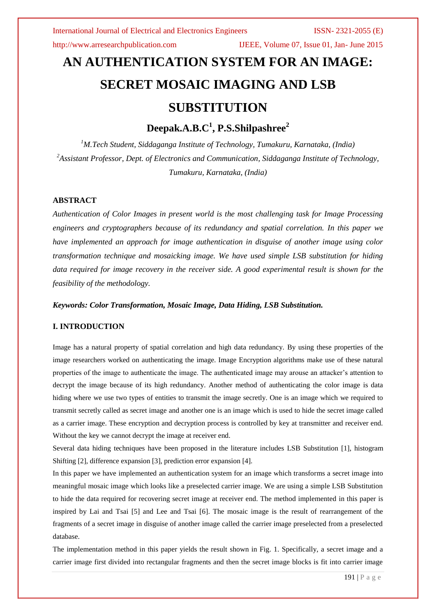http://www.arresearchpublication.com IJEEE, Volume 07, Issue 01, Jan- June 2015

# **AN AUTHENTICATION SYSTEM FOR AN IMAGE: SECRET MOSAIC IMAGING AND LSB SUBSTITUTION**

**Deepak.A.B.C<sup>1</sup> , P.S.Shilpashree<sup>2</sup>**

*<sup>1</sup>M.Tech Student, Siddaganga Institute of Technology, Tumakuru, Karnataka, (India) <sup>2</sup>Assistant Professor, Dept. of Electronics and Communication, Siddaganga Institute of Technology, Tumakuru, Karnataka, (India)*

# **ABSTRACT**

*Authentication of Color Images in present world is the most challenging task for Image Processing engineers and cryptographers because of its redundancy and spatial correlation. In this paper we have implemented an approach for image authentication in disguise of another image using color transformation technique and mosaicking image. We have used simple LSB substitution for hiding data required for image recovery in the receiver side. A good experimental result is shown for the feasibility of the methodology.*

*Keywords: Color Transformation, Mosaic Image, Data Hiding, LSB Substitution.*

# **I. INTRODUCTION**

Image has a natural property of spatial correlation and high data redundancy. By using these properties of the image researchers worked on authenticating the image. Image Encryption algorithms make use of these natural properties of the image to authenticate the image. The authenticated image may arouse an attacker's attention to decrypt the image because of its high redundancy. Another method of authenticating the color image is data hiding where we use two types of entities to transmit the image secretly. One is an image which we required to transmit secretly called as secret image and another one is an image which is used to hide the secret image called as a carrier image. These encryption and decryption process is controlled by key at transmitter and receiver end. Without the key we cannot decrypt the image at receiver end.

Several data hiding techniques have been proposed in the literature includes LSB Substitution [1], histogram Shifting [2], difference expansion [3], prediction error expansion [4].

In this paper we have implemented an authentication system for an image which transforms a secret image into meaningful mosaic image which looks like a preselected carrier image. We are using a simple LSB Substitution to hide the data required for recovering secret image at receiver end. The method implemented in this paper is inspired by Lai and Tsai [5] and Lee and Tsai [6]. The mosaic image is the result of rearrangement of the fragments of a secret image in disguise of another image called the carrier image preselected from a preselected database.

The implementation method in this paper yields the result shown in Fig. 1. Specifically, a secret image and a carrier image first divided into rectangular fragments and then the secret image blocks is fit into carrier image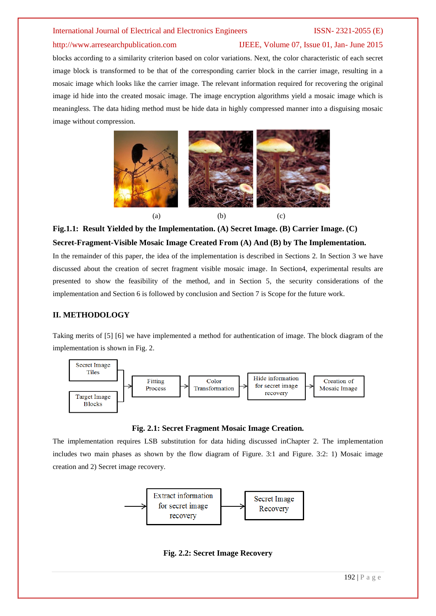### http://www.arresearchpublication.com IJEEE, Volume 07, Issue 01, Jan- June 2015

blocks according to a similarity criterion based on color variations. Next, the color characteristic of each secret image block is transformed to be that of the corresponding carrier block in the carrier image, resulting in a mosaic image which looks like the carrier image. The relevant information required for recovering the original image id hide into the created mosaic image. The image encryption algorithms yield a mosaic image which is meaningless. The data hiding method must be hide data in highly compressed manner into a disguising mosaic image without compression.



# **Fig.1.1: Result Yielded by the Implementation. (A) Secret Image. (B) Carrier Image. (C) Secret-Fragment-Visible Mosaic Image Created From (A) And (B) by The Implementation.**

In the remainder of this paper, the idea of the implementation is described in Sections 2. In Section 3 we have discussed about the creation of secret fragment visible mosaic image. In Section4, experimental results are presented to show the feasibility of the method, and in Section 5, the security considerations of the implementation and Section 6 is followed by conclusion and Section 7 is Scope for the future work.

### **II. METHODOLOGY**

Taking merits of [5] [6] we have implemented a method for authentication of image. The block diagram of the implementation is shown in Fig. 2.



**Fig. 2.1: Secret Fragment Mosaic Image Creation.**

The implementation requires LSB substitution for data hiding discussed inChapter 2. The implementation includes two main phases as shown by the flow diagram of Figure. 3:1 and Figure. 3:2: 1) Mosaic image creation and 2) Secret image recovery.



**Fig. 2.2: Secret Image Recovery**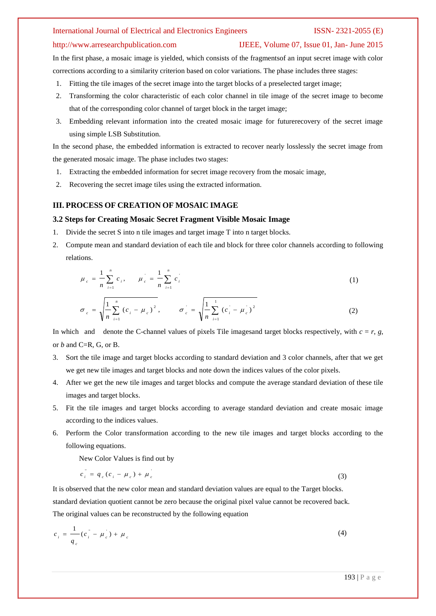#### http://www.arresearchpublication.com IJEEE, Volume 07, Issue 01, Jan- June 2015

In the first phase, a mosaic image is yielded, which consists of the fragmentsof an input secret image with color corrections according to a similarity criterion based on color variations. The phase includes three stages:

- 1. Fitting the tile images of the secret image into the target blocks of a preselected target image;
- 2. Transforming the color characteristic of each color channel in tile image of the secret image to become that of the corresponding color channel of target block in the target image;
- 3. Embedding relevant information into the created mosaic image for futurerecovery of the secret image using simple LSB Substitution.

In the second phase, the embedded information is extracted to recover nearly losslessly the secret image from the generated mosaic image. The phase includes two stages:

- 1. Extracting the embedded information for secret image recovery from the mosaic image,
- 2. Recovering the secret image tiles using the extracted information.

# **III. PROCESS OF CREATION OF MOSAIC IMAGE**

### **3.2 Steps for Creating Mosaic Secret Fragment Visible Mosaic Image**

- 1. Divide the secret S into n tile images and target image T into n target blocks.
- 2. Compute mean and standard deviation of each tile and block for three color channels according to following relations.

$$
\mu_c = \frac{1}{n} \sum_{i=1}^n c_i, \qquad \mu_c = \frac{1}{n} \sum_{i=1}^n c_i
$$
 (1)

$$
\sigma_c = \sqrt{\frac{1}{n} \sum_{i=1}^{n} (c_i - \mu_c)^2}, \qquad \sigma_c = \sqrt{\frac{1}{n} \sum_{i=1}^{n} (c_i - \mu_c)^2}
$$
(2)

In which and denote the C-channel values of pixels Tile images and target blocks respectively, with  $c = r$ ,  $g$ , or *b* and C=R, G, or B.

- 3. Sort the tile image and target blocks according to standard deviation and 3 color channels, after that we get we get new tile images and target blocks and note down the indices values of the color pixels.
- 4. After we get the new tile images and target blocks and compute the average standard deviation of these tile images and target blocks.
- 5. Fit the tile images and target blocks according to average standard deviation and create mosaic image according to the indices values.
- 6. Perform the Color transformation according to the new tile images and target blocks according to the following equations.

New Color Values is find out by

$$
c_i^{\dagger} = q_c (c_i - \mu_c) + \mu_c^{\dagger} \tag{3}
$$

It is observed that the new color mean and standard deviation values are equal to the Target blocks. standard deviation quotient cannot be zero because the original pixel value cannot be recovered back. The original values can be reconstructed by the following equation

$$
c_i = \frac{1}{q_c} (c_i - \mu_c) + \mu_c \tag{4}
$$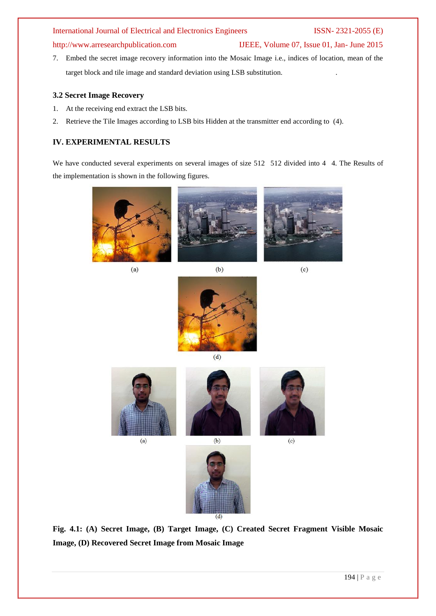# http://www.arresearchpublication.com IJEEE, Volume 07, Issue 01, Jan- June 2015

7. Embed the secret image recovery information into the Mosaic Image i.e., indices of location, mean of the target block and tile image and standard deviation using LSB substitution. .

### **3.2 Secret Image Recovery**

- 1. At the receiving end extract the LSB bits.
- 2. Retrieve the Tile Images according to LSB bits Hidden at the transmitter end according to (4).

# **IV. EXPERIMENTAL RESULTS**

We have conducted several experiments on several images of size 512 512 divided into 4 4. The Results of the implementation is shown in the following figures.



 $(a)$ 

 $(b)$ 



 $(d)$ 



 $(a)$ 



 $(c)$ 



**Fig. 4.1: (A) Secret Image, (B) Target Image, (C) Created Secret Fragment Visible Mosaic Image, (D) Recovered Secret Image from Mosaic Image**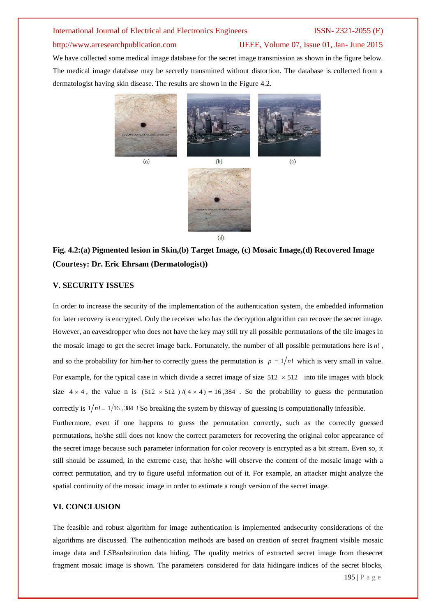# http://www.arresearchpublication.com IJEEE, Volume 07, Issue 01, Jan- June 2015

We have collected some medical image database for the secret image transmission as shown in the figure below. The medical image database may be secretly transmitted without distortion. The database is collected from a dermatologist having skin disease. The results are shown in the Figure 4.2.



# **Fig. 4.2:(a) Pigmented lesion in Skin,(b) Target Image, (c) Mosaic Image,(d) Recovered Image (Courtesy: Dr. Eric Ehrsam (Dermatologist))**

# **V. SECURITY ISSUES**

In order to increase the security of the implementation of the authentication system, the embedded information for later recovery is encrypted. Only the receiver who has the decryption algorithm can recover the secret image. However, an eavesdropper who does not have the key may still try all possible permutations of the tile images in the mosaic image to get the secret image back. Fortunately, the number of all possible permutations here is *n*! , and so the probability for him/her to correctly guess the permutation is  $p = 1/n!$  which is very small in value. For example, for the typical case in which divide a secret image of size  $512 \times 512$  into tile images with block size  $4 \times 4$ , the value n is  $(512 \times 512) / (4 \times 4) = 16,384$ . So the probability to guess the permutation

Furthermore, even if one happens to guess the permutation correctly, such as the correctly guessed permutations, he/she still does not know the correct parameters for recovering the original color appearance of the secret image because such parameter information for color recovery is encrypted as a bit stream. Even so, it still should be assumed, in the extreme case, that he/she will observe the content of the mosaic image with a correct permutation, and try to figure useful information out of it. For example, an attacker might analyze the spatial continuity of the mosaic image in order to estimate a rough version of the secret image.

correctly is  $1/n! = 1/16$ , 384 ! So breaking the system by thisway of guessing is computationally infeasible.

### **VI. CONCLUSION**

The feasible and robust algorithm for image authentication is implemented andsecurity considerations of the algorithms are discussed. The authentication methods are based on creation of secret fragment visible mosaic image data and LSBsubstitution data hiding. The quality metrics of extracted secret image from thesecret fragment mosaic image is shown. The parameters considered for data hidingare indices of the secret blocks,